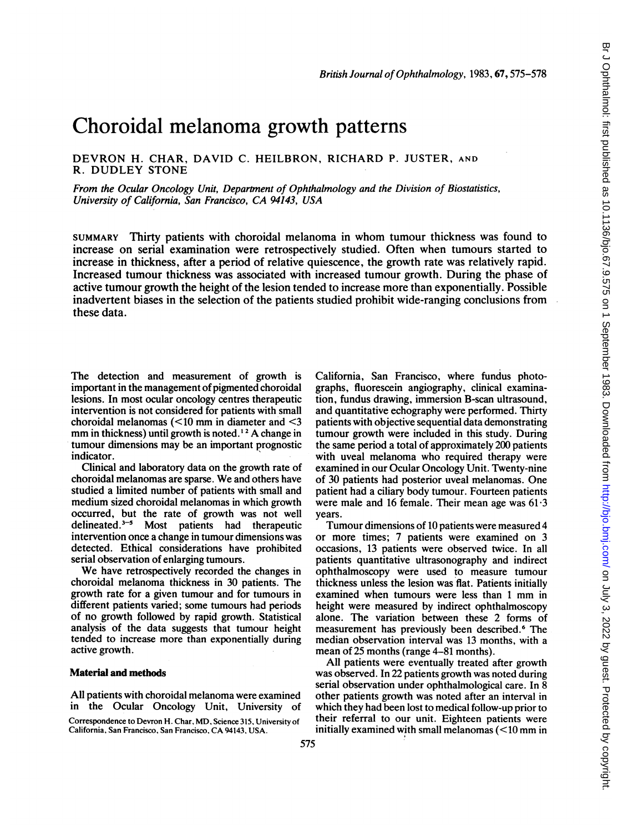# Choroidal melanoma growth patterns

## DEVRON H. CHAR, DAVID C. fiEILBRON, RICHARD P. JUSTER, AND R. DUDLEY STONE

From the Ocular Oncology Unit, Department of Ophthalmology and the Division of Biostatistics, University of California, San Francisco, CA 94143, USA

SUMMARY Thirty patients with choroidal melanoma in whom tumour thickness was found to increase on serial examination were retrospectively studied. Often when tumours started to increase in thickness, after a period of relative quiescence, the growth rate was relatively rapid. Increased tumour thickness was associated with increased tumour growth. During the phase of active tumour growth the height of the lesion tended to increase more than exponentially. Possible inadvertent biases in the selection of the patients studied prohibit wide-ranging conclusions from these data.

The detection and measurement of growth is important in the management of pigmented choroidal lesions. In most ocular oncology centres therapeutic intervention is not considered for patients with small choroidal melanomas (<10 mm in diameter and <3 mm in thickness) until growth is noted.<sup>12</sup> A change in tumour dimensions may be an important prognostic indicator.

Clinical and laboratory data on the growth rate of choroidal melanomas are sparse. We and others have studied a limited number of patients with small and medium sized choroidal melanomas in which growth occurred, but the rate of growth was not well delineated.<sup>3-5</sup> Most patients had therapeutic intervention once a change in tumour dimensions was detected. Ethical considerations have prohibited serial observation of enlarging tumours.

We have retrospectively recorded the changes in choroidal melanoma thickness in 30 patients. The growth rate for a given tumour and for tumours in different patients varied; some tumours had periods of no growth followed by rapid growth. Statistical analysis of the data suggests that tumour height tended to increase more than exponentially during active growth.

## Material and methods

All patients with choroidal melanoma were examined in the Ocular Oncology Unit, University

Correspondence to Devron H. Char, MD, Science 315, University of California, San Francisco, San Francisco, CA 94143, USA.

California, San Francisco, where fundus photographs, fluorescein angiography, clinical examination, fundus drawing, immersion B-scan ultrasound, and quantitative echography were performed. Thirty patients with objective sequential data demonstrating tumour growth were included in this study. During the same period a total of approximately 200 patients with uveal melanoma who required therapy were examined in our Ocular Oncology Unit. Twenty-nine of 30 patients had posterior uveal melanomas. One patient had a ciliary body tumour. Fourteen patients were male and 16 female. Their mean age was  $61.3$ years.

Tumour dimensions of 10 patients were measured 4 or more times; 7 patients were examined on 3 occasions, 13 patients were observed twice. In all patients quantitative ultrasonography and indirect ophthalmoscopy were used to measure tumour thickness unless the lesion was flat. Patients initially examined when tumours were less than <sup>1</sup> mm in height were measured by indirect ophthalmoscopy alone. The variation between these 2 forms of measurement has previously been described.<sup>6</sup> The median observation interval was 13 months, with a mean of 25 months (range 4-81 months).

All patients were eventually treated after growth was observed. In 22 patients growth was noted during serial observation under ophthalmological care. In 8 other patients growth was noted after an interval in which they had been lost to medical follow-up prior to their referral to our unit. Eighteen patients were initially examined with small melanomas (<10 mm in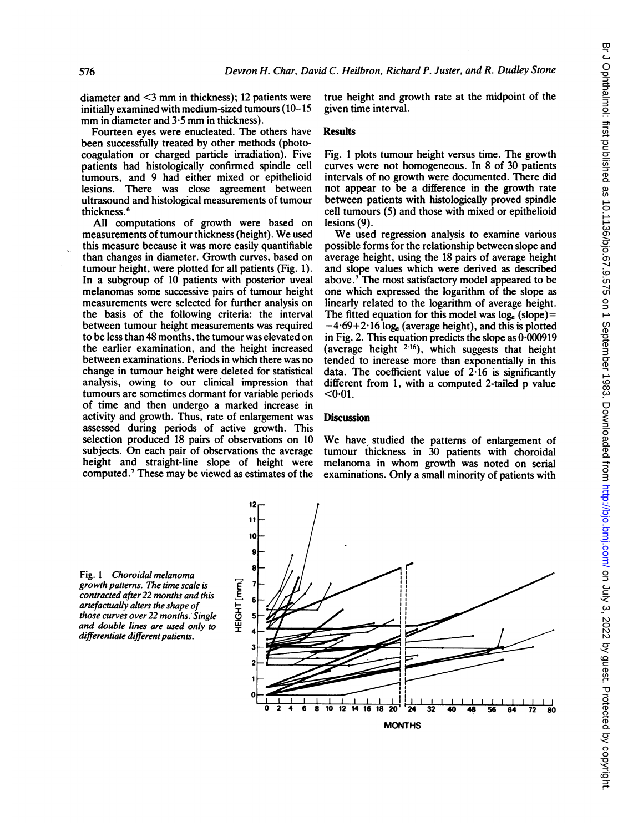diameter and <3 mm in thickness); <sup>12</sup> patients were initially examined with medium-sized tumours (10-15 mm in diameter and  $3.5$  mm in thickness).

Fourteen eyes were enucleated. The others have been successfully treated by other methods (photocoagulation or charged particle irradiation). Five patients had histologically confirmed spindle cell tumours, and 9 had either mixed or epithelioid lesions. There was close agreement between ultrasound and histological measurements of tumour thickness.<sup>6</sup>

All computations of growth were based on measurements of tumour thickness (height). We used this measure because it was more easily quantifiable than changes in diameter. Growth curves, based on tumour height, were plotted for all patients (Fig. 1). In a subgroup of 10 patients with posterior uveal melanomas some successive pairs of tumour height measurements were selected for further analysis on the basis of the following criteria: the interval between tumour height measurements was required to be less than 48 months, the tumour was elevated on the earlier examination, and the height increased between examinations. Periods in which there was no change in tumour height were deleted for statistical analysis, owing to our clinical impression that tumours are sometimes dormant for variable periods of time and then undergo a marked increase in activity and growth. Thus, rate of enlargement was assessed during periods of active growth. This selection produced 18 pairs of observations on 10 subjects. On each pair of observations the average height and straight-line slope of height were computed.7 These may be viewed as estimates of the

true height and growth rate at the midpoint of the given time interval.

### Results

Fig. <sup>I</sup> plots tumour height versus time. The growth curves were not homogeneous. In 8 of <sup>30</sup> patients intervals of no growth were documented. There did not appear to be a difference in the growth rate between patients with histologically proved spindle cell tumours (5) and those with mixed or epithelioid lesions (9).

We used regression analysis to examine various possible forms for the relationship between slope and average height, using the 18 pairs of average height and slope values which were derived as described above.<sup>7</sup> The most satisfactory model appeared to be one which expressed the logarithm of the slope as linearly related to the logarithm of average height. The fitted equation for this model was  $log_e$  (slope)=  $-4.69+2.16$  log<sub>e</sub> (average height), and this is plotted in Fig. 2. This equation predicts the slope as 0-000919 (average height  $2.16$ ), which suggests that height tended to increase more than exponentially in this data. The coefficient value of  $2.16$  is significantly different from 1, with a computed 2-tailed p value  $< 0.01$ .

## **Discussion**

We have studied the patterns of enlargement of tumour thickness in 30 patients with choroidal melanoma in whom growth was noted on serial examinations. Only a small minority of patients with

Fig. <sup>I</sup> Choroidal melanoma growth patterns. The time scale is contracted after 22 months and this artefactually alters the shape of those curves over 22 months. Single and double lines are used only to differentiate different patients.

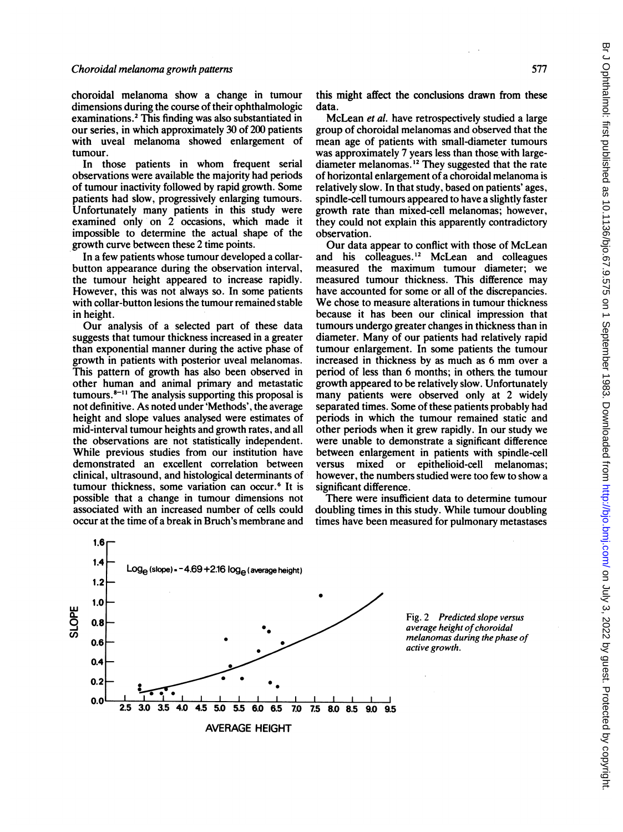choroidal melanoma show a change in tumour dimensions during the course of their ophthalmologic examinations.2 This finding was also substantiated in our series, in which approximately 30 of 200 patients with uveal melanoma showed enlargement of tumour.

In those patients in whom frequent serial observations were available the majority had periods of tumour inactivity followed by rapid growth. Some patients had slow, progressively enlarging tumours. Unfortunately many patients in this study were examined only on 2 occasions, which made it impossible to determine the actual shape of the growth curve between these 2 time points.

In a few patients whose tumour developed a collarbutton appearance during the observation interval, the tumour height appeared to increase rapidly. However, this was not always so. In some patients with collar-button lesions the tumour remained stable in height.

Our analysis of a selected part of these data suggests that tumour thickness increased in a greater than exponential manner during the active phase of growth in patients with posterior uveal melanomas. This pattern of growth has also been observed in other human and animal primary and metastatic tumours. $8-11$  The analysis supporting this proposal is not definitive. As noted under 'Methods', the average height and slope values analysed were estimates of mid-interval tumour heights and growth rates, and all the observations are not statistically independent. While previous studies from our institution have demonstrated an excellent correlation between clinical, ultrasound, and histological determinants of tumour thickness, some variation can occur.<sup>6</sup> It is possible that a change in tumour dimensions not associated with an increased number of cells could occur at the time of a break in Bruch's membrane and this might affect the conclusions drawn from these data.

McLean et al. have retrospectively studied a large group of choroidal melanomas and observed that the mean age of patients with small-diameter tumours was approximately 7 years less than those with largediameter melanomas.<sup>12</sup> They suggested that the rate of horizontal enlargement of a choroidal melanoma is relatively slow. In that study, based on patients' ages, spindle-cell tumours appeared to have a slightly faster growth rate than mixed-cell melanomas; however, they could not explain this apparently contradictory observation.

Our data appear to conflict with those of McLean and his colleagues. <sup>12</sup> McLean and colleagues measured the maximum tumour diameter; we measured tumour thickness. This difference may have accounted for some or all of the discrepancies. We chose to measure alterations in tumour thickness because it has been our clinical impression that tumours undergo greater changes in thickness than in diameter. Many of our patients had relatively rapid tumour enlargement. In some patients the tumour increased in thickness by as much as <sup>6</sup> mm over <sup>a</sup> period of less than 6 months; in others. the tumour growth appeared to be relatively slow. Unfortunately many patients were observed only at 2 widely separated times. Some of these patients probably had periods in which the tumour remained static and other periods when it grew rapidly. In our study we were unable to demonstrate a significant difference between enlargement in patients with spindle-cell versus mixed or epithelioid-cell melanomas; however, the numbers studied were too few to show a significant difference.

There were insufficient data to determine tumour doubling times in this study. While tumour doubling times have been measured for pulmonary metastases



Fig. 2 Predicted slope versus average height of choroidal melanomas during the phase of active growth.